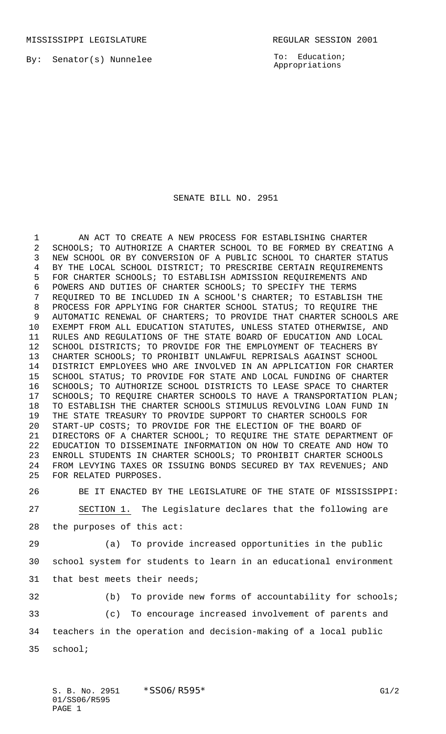MISSISSIPPI LEGISLATURE **REGULAR SESSION 2001** 

By: Senator(s) Nunnelee

To: Education; Appropriations

## SENATE BILL NO. 2951

1 AN ACT TO CREATE A NEW PROCESS FOR ESTABLISHING CHARTER SCHOOLS; TO AUTHORIZE A CHARTER SCHOOL TO BE FORMED BY CREATING A NEW SCHOOL OR BY CONVERSION OF A PUBLIC SCHOOL TO CHARTER STATUS BY THE LOCAL SCHOOL DISTRICT; TO PRESCRIBE CERTAIN REQUIREMENTS FOR CHARTER SCHOOLS; TO ESTABLISH ADMISSION REQUIREMENTS AND POWERS AND DUTIES OF CHARTER SCHOOLS; TO SPECIFY THE TERMS REQUIRED TO BE INCLUDED IN A SCHOOL'S CHARTER; TO ESTABLISH THE PROCESS FOR APPLYING FOR CHARTER SCHOOL STATUS; TO REQUIRE THE AUTOMATIC RENEWAL OF CHARTERS; TO PROVIDE THAT CHARTER SCHOOLS ARE EXEMPT FROM ALL EDUCATION STATUTES, UNLESS STATED OTHERWISE, AND RULES AND REGULATIONS OF THE STATE BOARD OF EDUCATION AND LOCAL SCHOOL DISTRICTS; TO PROVIDE FOR THE EMPLOYMENT OF TEACHERS BY CHARTER SCHOOLS; TO PROHIBIT UNLAWFUL REPRISALS AGAINST SCHOOL DISTRICT EMPLOYEES WHO ARE INVOLVED IN AN APPLICATION FOR CHARTER SCHOOL STATUS; TO PROVIDE FOR STATE AND LOCAL FUNDING OF CHARTER SCHOOLS; TO AUTHORIZE SCHOOL DISTRICTS TO LEASE SPACE TO CHARTER SCHOOLS; TO REQUIRE CHARTER SCHOOLS TO HAVE A TRANSPORTATION PLAN; TO ESTABLISH THE CHARTER SCHOOLS STIMULUS REVOLVING LOAN FUND IN THE STATE TREASURY TO PROVIDE SUPPORT TO CHARTER SCHOOLS FOR START-UP COSTS; TO PROVIDE FOR THE ELECTION OF THE BOARD OF DIRECTORS OF A CHARTER SCHOOL; TO REQUIRE THE STATE DEPARTMENT OF EDUCATION TO DISSEMINATE INFORMATION ON HOW TO CREATE AND HOW TO ENROLL STUDENTS IN CHARTER SCHOOLS; TO PROHIBIT CHARTER SCHOOLS FROM LEVYING TAXES OR ISSUING BONDS SECURED BY TAX REVENUES; AND FOR RELATED PURPOSES.

 BE IT ENACTED BY THE LEGISLATURE OF THE STATE OF MISSISSIPPI: SECTION 1. The Legislature declares that the following are the purposes of this act:

 (a) To provide increased opportunities in the public school system for students to learn in an educational environment that best meets their needs;

(b) To provide new forms of accountability for schools;

 (c) To encourage increased involvement of parents and teachers in the operation and decision-making of a local public

school;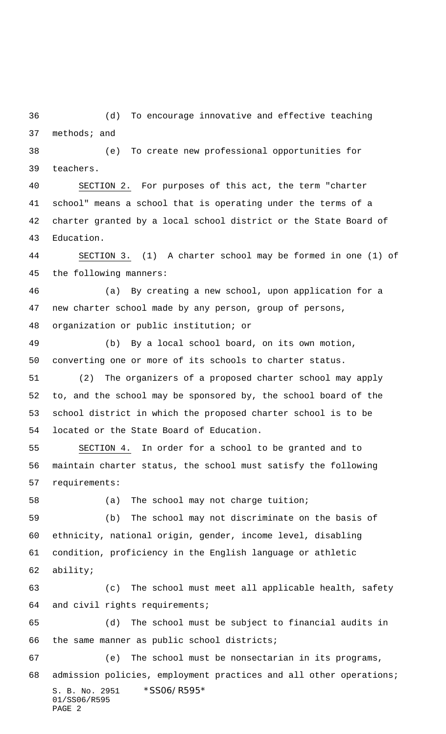(d) To encourage innovative and effective teaching methods; and

 (e) To create new professional opportunities for teachers.

 SECTION 2. For purposes of this act, the term "charter school" means a school that is operating under the terms of a charter granted by a local school district or the State Board of Education.

 SECTION 3. (1) A charter school may be formed in one (1) of the following manners:

 (a) By creating a new school, upon application for a new charter school made by any person, group of persons, organization or public institution; or

 (b) By a local school board, on its own motion, converting one or more of its schools to charter status.

 (2) The organizers of a proposed charter school may apply to, and the school may be sponsored by, the school board of the school district in which the proposed charter school is to be located or the State Board of Education.

 SECTION 4. In order for a school to be granted and to maintain charter status, the school must satisfy the following requirements:

(a) The school may not charge tuition;

 (b) The school may not discriminate on the basis of ethnicity, national origin, gender, income level, disabling condition, proficiency in the English language or athletic ability;

 (c) The school must meet all applicable health, safety and civil rights requirements;

 (d) The school must be subject to financial audits in the same manner as public school districts;

S. B. No. 2951 \*SS06/R595\* 01/SS06/R595 PAGE 2 (e) The school must be nonsectarian in its programs, admission policies, employment practices and all other operations;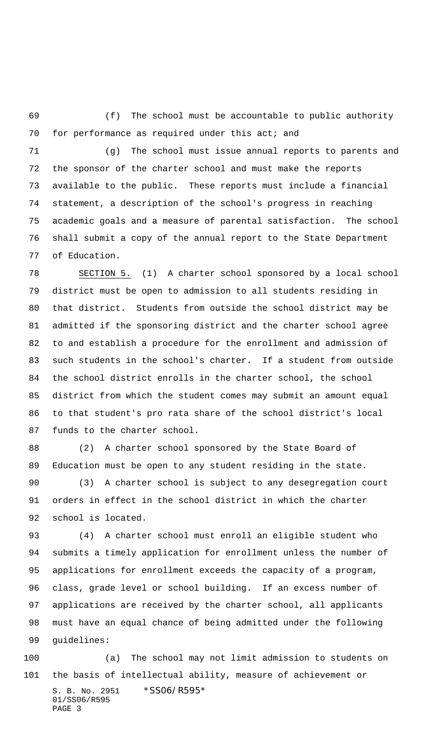(f) The school must be accountable to public authority 70 for performance as required under this act; and

 (g) The school must issue annual reports to parents and the sponsor of the charter school and must make the reports available to the public. These reports must include a financial statement, a description of the school's progress in reaching academic goals and a measure of parental satisfaction. The school shall submit a copy of the annual report to the State Department of Education.

 SECTION 5. (1) A charter school sponsored by a local school district must be open to admission to all students residing in that district. Students from outside the school district may be admitted if the sponsoring district and the charter school agree to and establish a procedure for the enrollment and admission of such students in the school's charter. If a student from outside the school district enrolls in the charter school, the school district from which the student comes may submit an amount equal to that student's pro rata share of the school district's local funds to the charter school.

 (2) A charter school sponsored by the State Board of Education must be open to any student residing in the state.

 (3) A charter school is subject to any desegregation court orders in effect in the school district in which the charter school is located.

 (4) A charter school must enroll an eligible student who submits a timely application for enrollment unless the number of applications for enrollment exceeds the capacity of a program, class, grade level or school building. If an excess number of applications are received by the charter school, all applicants must have an equal chance of being admitted under the following guidelines:

S. B. No. 2951 \*SS06/R595\* 01/SS06/R595 PAGE 3 (a) The school may not limit admission to students on the basis of intellectual ability, measure of achievement or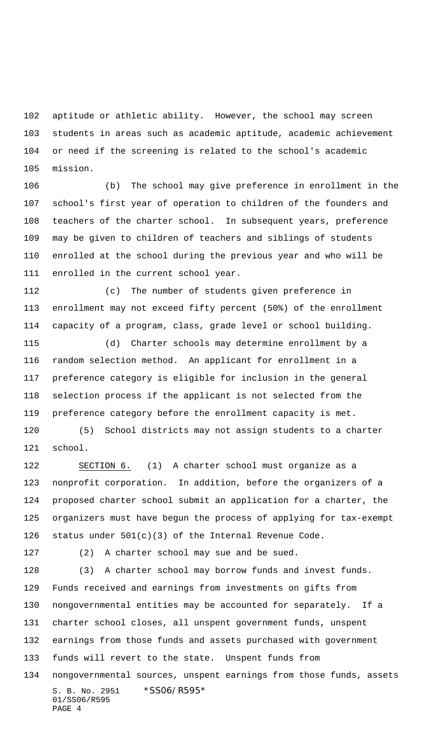aptitude or athletic ability. However, the school may screen students in areas such as academic aptitude, academic achievement or need if the screening is related to the school's academic mission.

 (b) The school may give preference in enrollment in the school's first year of operation to children of the founders and teachers of the charter school. In subsequent years, preference may be given to children of teachers and siblings of students enrolled at the school during the previous year and who will be enrolled in the current school year.

 (c) The number of students given preference in enrollment may not exceed fifty percent (50%) of the enrollment capacity of a program, class, grade level or school building.

 (d) Charter schools may determine enrollment by a random selection method. An applicant for enrollment in a preference category is eligible for inclusion in the general selection process if the applicant is not selected from the preference category before the enrollment capacity is met.

 (5) School districts may not assign students to a charter school.

 SECTION 6. (1) A charter school must organize as a nonprofit corporation. In addition, before the organizers of a proposed charter school submit an application for a charter, the organizers must have begun the process of applying for tax-exempt 126 status under  $501(c)(3)$  of the Internal Revenue Code.

(2) A charter school may sue and be sued.

S. B. No. 2951 \*SS06/R595\* 01/SS06/R595 PAGE 4 (3) A charter school may borrow funds and invest funds. Funds received and earnings from investments on gifts from nongovernmental entities may be accounted for separately. If a charter school closes, all unspent government funds, unspent earnings from those funds and assets purchased with government funds will revert to the state. Unspent funds from nongovernmental sources, unspent earnings from those funds, assets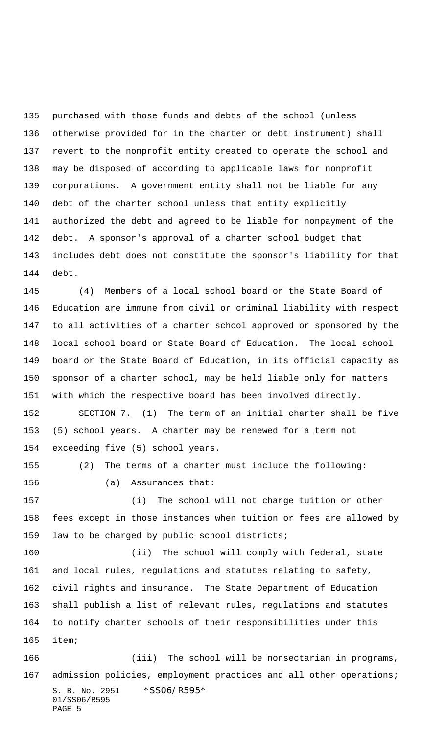purchased with those funds and debts of the school (unless otherwise provided for in the charter or debt instrument) shall revert to the nonprofit entity created to operate the school and may be disposed of according to applicable laws for nonprofit corporations. A government entity shall not be liable for any debt of the charter school unless that entity explicitly authorized the debt and agreed to be liable for nonpayment of the debt. A sponsor's approval of a charter school budget that includes debt does not constitute the sponsor's liability for that debt.

 (4) Members of a local school board or the State Board of Education are immune from civil or criminal liability with respect to all activities of a charter school approved or sponsored by the local school board or State Board of Education. The local school board or the State Board of Education, in its official capacity as sponsor of a charter school, may be held liable only for matters with which the respective board has been involved directly.

 SECTION 7. (1) The term of an initial charter shall be five (5) school years. A charter may be renewed for a term not exceeding five (5) school years.

 (2) The terms of a charter must include the following: (a) Assurances that: (i) The school will not charge tuition or other fees except in those instances when tuition or fees are allowed by

law to be charged by public school districts;

 (ii) The school will comply with federal, state and local rules, regulations and statutes relating to safety, civil rights and insurance. The State Department of Education shall publish a list of relevant rules, regulations and statutes to notify charter schools of their responsibilities under this item;

S. B. No. 2951 \*SS06/R595\* 01/SS06/R595 PAGE 5 (iii) The school will be nonsectarian in programs, admission policies, employment practices and all other operations;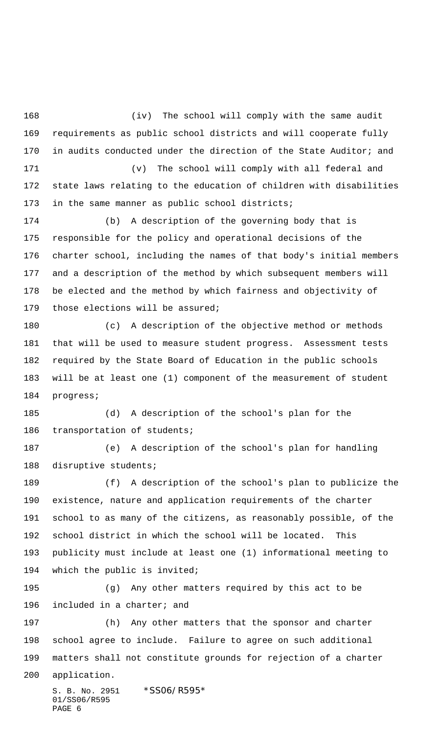(iv) The school will comply with the same audit requirements as public school districts and will cooperate fully 170 in audits conducted under the direction of the State Auditor; and (v) The school will comply with all federal and state laws relating to the education of children with disabilities

173 in the same manner as public school districts;

 (b) A description of the governing body that is responsible for the policy and operational decisions of the charter school, including the names of that body's initial members and a description of the method by which subsequent members will be elected and the method by which fairness and objectivity of those elections will be assured;

 (c) A description of the objective method or methods that will be used to measure student progress. Assessment tests required by the State Board of Education in the public schools will be at least one (1) component of the measurement of student progress;

 (d) A description of the school's plan for the transportation of students;

 (e) A description of the school's plan for handling disruptive students;

 (f) A description of the school's plan to publicize the existence, nature and application requirements of the charter school to as many of the citizens, as reasonably possible, of the school district in which the school will be located. This publicity must include at least one (1) informational meeting to which the public is invited;

 (g) Any other matters required by this act to be included in a charter; and

 (h) Any other matters that the sponsor and charter school agree to include. Failure to agree on such additional matters shall not constitute grounds for rejection of a charter application.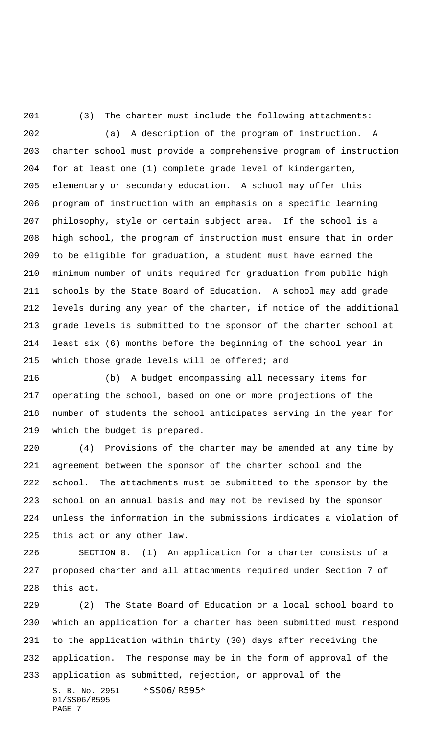(3) The charter must include the following attachments:

 (a) A description of the program of instruction. A charter school must provide a comprehensive program of instruction for at least one (1) complete grade level of kindergarten, elementary or secondary education. A school may offer this program of instruction with an emphasis on a specific learning philosophy, style or certain subject area. If the school is a high school, the program of instruction must ensure that in order to be eligible for graduation, a student must have earned the minimum number of units required for graduation from public high schools by the State Board of Education. A school may add grade levels during any year of the charter, if notice of the additional grade levels is submitted to the sponsor of the charter school at least six (6) months before the beginning of the school year in 215 which those grade levels will be offered; and

 (b) A budget encompassing all necessary items for operating the school, based on one or more projections of the number of students the school anticipates serving in the year for which the budget is prepared.

 (4) Provisions of the charter may be amended at any time by agreement between the sponsor of the charter school and the school. The attachments must be submitted to the sponsor by the school on an annual basis and may not be revised by the sponsor unless the information in the submissions indicates a violation of this act or any other law.

 SECTION 8. (1) An application for a charter consists of a proposed charter and all attachments required under Section 7 of this act.

S. B. No. 2951 \*SS06/R595\* 01/SS06/R595 (2) The State Board of Education or a local school board to which an application for a charter has been submitted must respond to the application within thirty (30) days after receiving the application. The response may be in the form of approval of the application as submitted, rejection, or approval of the

PAGE 7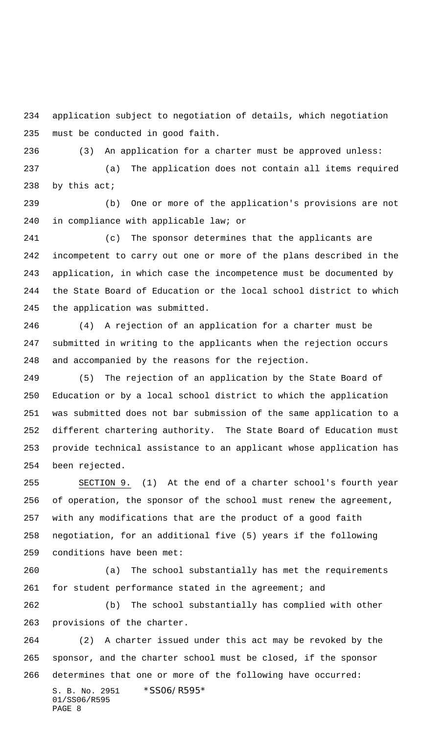application subject to negotiation of details, which negotiation must be conducted in good faith.

(3) An application for a charter must be approved unless:

 (a) The application does not contain all items required by this act;

 (b) One or more of the application's provisions are not in compliance with applicable law; or

 (c) The sponsor determines that the applicants are incompetent to carry out one or more of the plans described in the application, in which case the incompetence must be documented by the State Board of Education or the local school district to which the application was submitted.

 (4) A rejection of an application for a charter must be submitted in writing to the applicants when the rejection occurs and accompanied by the reasons for the rejection.

 (5) The rejection of an application by the State Board of Education or by a local school district to which the application was submitted does not bar submission of the same application to a different chartering authority. The State Board of Education must provide technical assistance to an applicant whose application has been rejected.

 SECTION 9. (1) At the end of a charter school's fourth year of operation, the sponsor of the school must renew the agreement, with any modifications that are the product of a good faith negotiation, for an additional five (5) years if the following conditions have been met:

 (a) The school substantially has met the requirements 261 for student performance stated in the agreement; and

 (b) The school substantially has complied with other provisions of the charter.

S. B. No. 2951 \*SS06/R595\* 01/SS06/R595 PAGE 8 (2) A charter issued under this act may be revoked by the sponsor, and the charter school must be closed, if the sponsor determines that one or more of the following have occurred: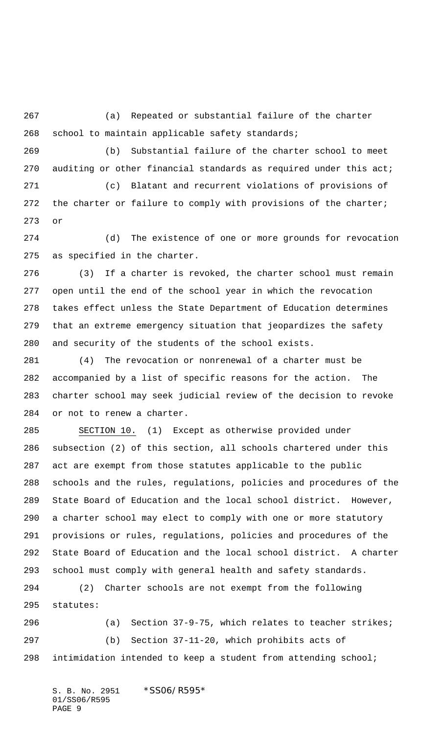(a) Repeated or substantial failure of the charter school to maintain applicable safety standards;

 (b) Substantial failure of the charter school to meet auditing or other financial standards as required under this act;

 (c) Blatant and recurrent violations of provisions of 272 the charter or failure to comply with provisions of the charter; or

 (d) The existence of one or more grounds for revocation as specified in the charter.

 (3) If a charter is revoked, the charter school must remain open until the end of the school year in which the revocation takes effect unless the State Department of Education determines that an extreme emergency situation that jeopardizes the safety and security of the students of the school exists.

 (4) The revocation or nonrenewal of a charter must be accompanied by a list of specific reasons for the action. The charter school may seek judicial review of the decision to revoke or not to renew a charter.

 SECTION 10. (1) Except as otherwise provided under subsection (2) of this section, all schools chartered under this act are exempt from those statutes applicable to the public schools and the rules, regulations, policies and procedures of the State Board of Education and the local school district. However, a charter school may elect to comply with one or more statutory provisions or rules, regulations, policies and procedures of the State Board of Education and the local school district. A charter school must comply with general health and safety standards.

 (2) Charter schools are not exempt from the following statutes:

 (a) Section 37-9-75, which relates to teacher strikes; (b) Section 37-11-20, which prohibits acts of intimidation intended to keep a student from attending school;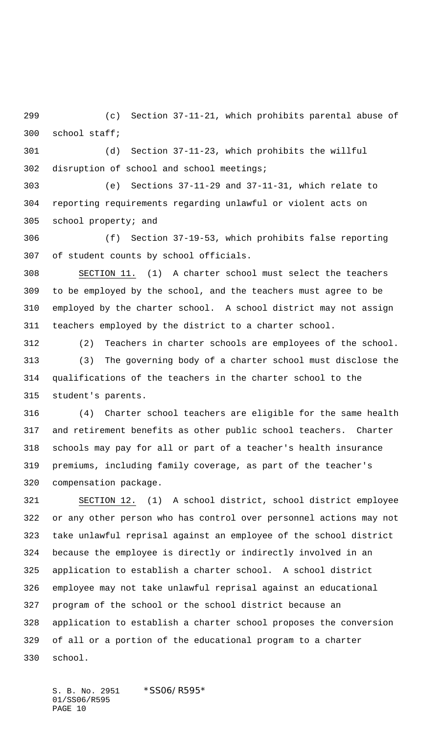(c) Section 37-11-21, which prohibits parental abuse of school staff;

 (d) Section 37-11-23, which prohibits the willful disruption of school and school meetings;

 (e) Sections 37-11-29 and 37-11-31, which relate to reporting requirements regarding unlawful or violent acts on school property; and

 (f) Section 37-19-53, which prohibits false reporting of student counts by school officials.

 SECTION 11. (1) A charter school must select the teachers to be employed by the school, and the teachers must agree to be employed by the charter school. A school district may not assign teachers employed by the district to a charter school.

 (2) Teachers in charter schools are employees of the school. (3) The governing body of a charter school must disclose the qualifications of the teachers in the charter school to the student's parents.

 (4) Charter school teachers are eligible for the same health and retirement benefits as other public school teachers. Charter schools may pay for all or part of a teacher's health insurance premiums, including family coverage, as part of the teacher's compensation package.

 SECTION 12. (1) A school district, school district employee or any other person who has control over personnel actions may not take unlawful reprisal against an employee of the school district because the employee is directly or indirectly involved in an application to establish a charter school. A school district employee may not take unlawful reprisal against an educational program of the school or the school district because an application to establish a charter school proposes the conversion of all or a portion of the educational program to a charter school.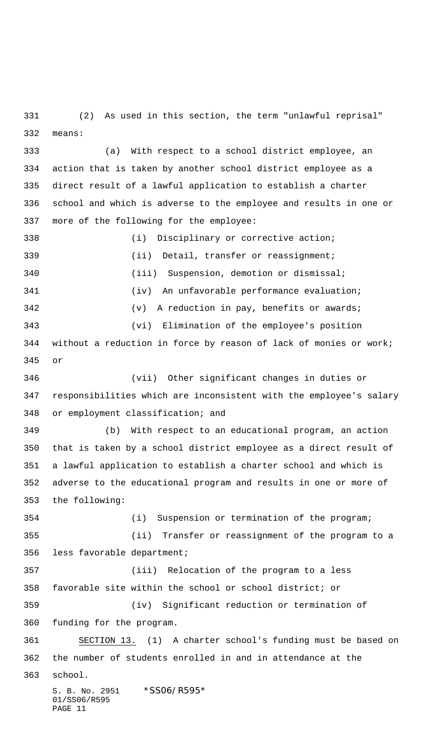(2) As used in this section, the term "unlawful reprisal" means:

 (a) With respect to a school district employee, an action that is taken by another school district employee as a direct result of a lawful application to establish a charter school and which is adverse to the employee and results in one or more of the following for the employee:

 (i) Disciplinary or corrective action; (ii) Detail, transfer or reassignment; (iii) Suspension, demotion or dismissal; (iv) An unfavorable performance evaluation; (v) A reduction in pay, benefits or awards; (vi) Elimination of the employee's position without a reduction in force by reason of lack of monies or work; or (vii) Other significant changes in duties or responsibilities which are inconsistent with the employee's salary

or employment classification; and

 (b) With respect to an educational program, an action that is taken by a school district employee as a direct result of a lawful application to establish a charter school and which is adverse to the educational program and results in one or more of the following:

 (i) Suspension or termination of the program; (ii) Transfer or reassignment of the program to a less favorable department; (iii) Relocation of the program to a less favorable site within the school or school district; or (iv) Significant reduction or termination of funding for the program. SECTION 13. (1) A charter school's funding must be based on the number of students enrolled in and in attendance at the

school.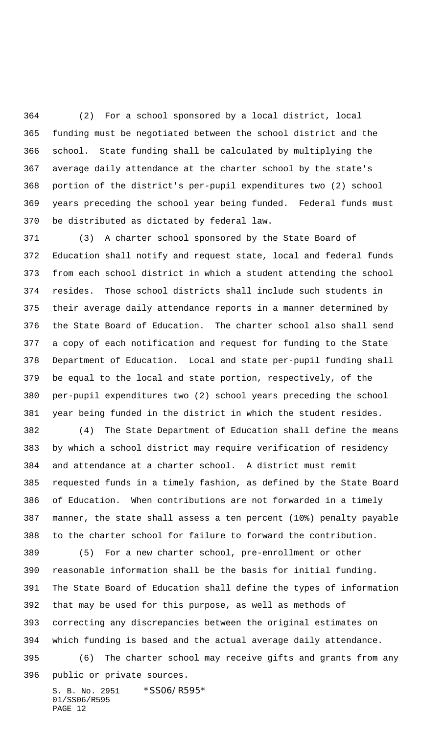(2) For a school sponsored by a local district, local funding must be negotiated between the school district and the school. State funding shall be calculated by multiplying the average daily attendance at the charter school by the state's portion of the district's per-pupil expenditures two (2) school years preceding the school year being funded. Federal funds must be distributed as dictated by federal law.

 (3) A charter school sponsored by the State Board of Education shall notify and request state, local and federal funds from each school district in which a student attending the school resides. Those school districts shall include such students in their average daily attendance reports in a manner determined by the State Board of Education. The charter school also shall send a copy of each notification and request for funding to the State Department of Education. Local and state per-pupil funding shall be equal to the local and state portion, respectively, of the per-pupil expenditures two (2) school years preceding the school year being funded in the district in which the student resides.

 (4) The State Department of Education shall define the means by which a school district may require verification of residency and attendance at a charter school. A district must remit requested funds in a timely fashion, as defined by the State Board of Education. When contributions are not forwarded in a timely manner, the state shall assess a ten percent (10%) penalty payable to the charter school for failure to forward the contribution.

 (5) For a new charter school, pre-enrollment or other reasonable information shall be the basis for initial funding. The State Board of Education shall define the types of information that may be used for this purpose, as well as methods of correcting any discrepancies between the original estimates on which funding is based and the actual average daily attendance. (6) The charter school may receive gifts and grants from any public or private sources.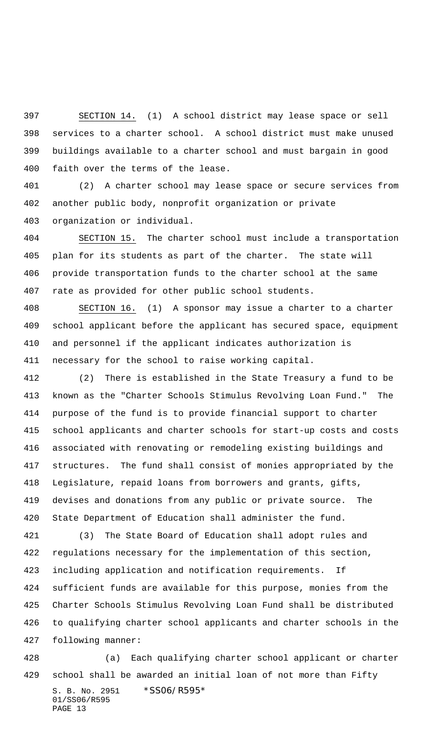SECTION 14. (1) A school district may lease space or sell services to a charter school. A school district must make unused buildings available to a charter school and must bargain in good faith over the terms of the lease.

 (2) A charter school may lease space or secure services from another public body, nonprofit organization or private organization or individual.

 SECTION 15. The charter school must include a transportation plan for its students as part of the charter. The state will provide transportation funds to the charter school at the same rate as provided for other public school students.

 SECTION 16. (1) A sponsor may issue a charter to a charter school applicant before the applicant has secured space, equipment and personnel if the applicant indicates authorization is necessary for the school to raise working capital.

 (2) There is established in the State Treasury a fund to be known as the "Charter Schools Stimulus Revolving Loan Fund." The purpose of the fund is to provide financial support to charter school applicants and charter schools for start-up costs and costs associated with renovating or remodeling existing buildings and structures. The fund shall consist of monies appropriated by the Legislature, repaid loans from borrowers and grants, gifts, devises and donations from any public or private source. The State Department of Education shall administer the fund.

 (3) The State Board of Education shall adopt rules and regulations necessary for the implementation of this section, including application and notification requirements. If sufficient funds are available for this purpose, monies from the Charter Schools Stimulus Revolving Loan Fund shall be distributed to qualifying charter school applicants and charter schools in the following manner:

S. B. No. 2951 \*SS06/R595\* 01/SS06/R595 PAGE 13 (a) Each qualifying charter school applicant or charter school shall be awarded an initial loan of not more than Fifty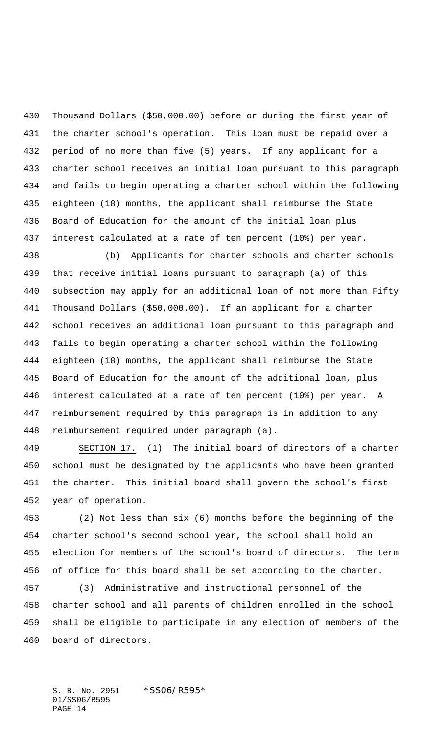Thousand Dollars (\$50,000.00) before or during the first year of the charter school's operation. This loan must be repaid over a period of no more than five (5) years. If any applicant for a charter school receives an initial loan pursuant to this paragraph and fails to begin operating a charter school within the following eighteen (18) months, the applicant shall reimburse the State Board of Education for the amount of the initial loan plus interest calculated at a rate of ten percent (10%) per year.

 (b) Applicants for charter schools and charter schools that receive initial loans pursuant to paragraph (a) of this subsection may apply for an additional loan of not more than Fifty Thousand Dollars (\$50,000.00). If an applicant for a charter school receives an additional loan pursuant to this paragraph and fails to begin operating a charter school within the following eighteen (18) months, the applicant shall reimburse the State Board of Education for the amount of the additional loan, plus interest calculated at a rate of ten percent (10%) per year. A reimbursement required by this paragraph is in addition to any reimbursement required under paragraph (a).

 SECTION 17. (1) The initial board of directors of a charter school must be designated by the applicants who have been granted the charter. This initial board shall govern the school's first year of operation.

 (2) Not less than six (6) months before the beginning of the charter school's second school year, the school shall hold an election for members of the school's board of directors. The term of office for this board shall be set according to the charter.

 (3) Administrative and instructional personnel of the charter school and all parents of children enrolled in the school shall be eligible to participate in any election of members of the board of directors.